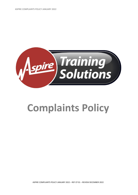

# **Complaints Policy**

ASPIRE COMPLAINTS POLICY JANUARY 2022 – REF CP 01 – REVIEW DECEMBER 2022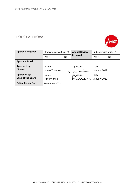$\sim$   $\sim$ 

| <b>POLICY APPROVAL</b>                           |                                     |           |                      |                                     |     |  |
|--------------------------------------------------|-------------------------------------|-----------|----------------------|-------------------------------------|-----|--|
| <b>Approval Required</b>                         | Indicate with a tick $(\checkmark)$ |           | <b>Annual Review</b> | Indicate with a tick $(\checkmark)$ |     |  |
|                                                  | Yes $\checkmark$                    | <b>No</b> | <b>Required</b>      | Yes $\checkmark$                    | No. |  |
| <b>Approval Panel</b>                            | $\bullet$                           |           |                      |                                     |     |  |
| <b>Approved by:</b><br><b>Director</b>           | Name:<br>James Trowman              |           | Signature:           | Date:<br>January 2022               |     |  |
| <b>Approved by:</b><br><b>Chair of the Board</b> | Name:<br>Nikki Witham               |           | Signature:           | Date:<br>January 2022               |     |  |
| <b>Policy Review Date</b>                        | December 2022                       |           |                      |                                     |     |  |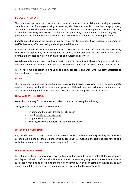## **POLICY STATEMENT**

This complaints policy aims to ensure that complaints are resolved as fairly and quickly as possible. Complaints matter for everyone using our services, who deserve an explanation when things go wrong and want to know that steps have been taken to make it less likely to happen to anyone else. They matter because every concern or complaint is an opportunity to improve. Complaints may signal a problem and we need to know as a business how to improve at all times and at all opportunities.

Complaints tell us about the quality of our delivery. They tell us about how responsive a member of staff is, how safe, effective, caring and well-planned they are.

Aspire place feedback from people who use our services at the heart of our work, because every concern is an opportunity for us to improve the quality of our provision. We also want to hear about positive experiences so we can highlight good and outstanding services.

We take complaints seriously – and we expect our staff to do so too. All learner/apprentice inductions describes complaints handling. Poor practice will be found and acted on. Good practice will be shared.

We work to make it easier to give us good quality feedback, and work with our staff/associates to improve learner's experience.

## **SCOPE**

This policy applies to all apprenticeship provision provided by Aspire. We want to provide good-quality services for everyone, but things sometimes go wrong. If they do, we need to know about them so that we can put them right and learn from them. This will help us to improve our performance.

## **HOW WILL WE DO THAT?**

We will make it easy for apprentices to make a complaint by doing the following.

Giving you the chance to make a complaint:

- in person to their skills trainer or skills coach
- email: [info@aspire-sports.co.uk](mailto:info@aspire-sports.co.uk)
- by phone 0121 663 1979
- by using the complaint form (attached to this policy)

## **WHAT IS A COMPLAINT?**

Anyone who feels that they have had a poor service from us, or from someone providing the service for us, and have tried to get the problem solved by speaking to someone in the relevant department. This will affect you and will need a particular response from us.

## **WHAT HAPPENS THEN?**

Except in exceptional circumstances, every attempt will be made to ensure that both the complainant and Aspire maintain confidentiality. However, the circumstances giving rise to the complaint may be such that it may not be possible to maintain confidentiality (with each complaint judged on its own merit). Should this be the case, the situation will be explained to the complainant.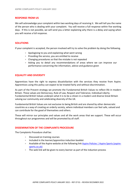## **RESPONSE FROM US**

We will acknowledge your complaint within two working days of receiving it. We will tell you the name of the person who is dealing with your complaint. You will receive a full response within five working days. If this is not possible, we will send you a letter explaining why there is a delay and saying when you will receive a full response.

## **SOLUTIONS**

If your complaint is accepted, the person involved will try to solve the problem by doing the following.

- Apologising to you and explaining what went wrong
- Providing the service, you are entitled to receive
- Changing procedures so that the mistake is not repeated
- Asking you to detail any recommendations of areas where we can improve our performance concerning the information, advice and guidance given

## **EQUALITY AND DIVERSITY**

Apprentices have the right to express dissatisfaction with the services they receive from Aspire. Apprentices using this policy can expect to be treated fairly and without discrimination.

As part of the Prevent strategy we promote the Fundamental British Values to reflect life in modern Britain. These values are Democracy, Rule of Law, Respect and Tolerance, Individual Liberty. Fundamental British Values underpin what it is to be a citizen in a modern and diverse Great Britain valuing our community and celebrating diversity of the UK.

Fundamental British Values are not exclusive to being British and are shared by other democratic countries as a way of creating an orderly society, where individual members can feel safe, valued and can contribute for the good of themselves and others.

These will mirror our principles and values and all the work areas that we support. These will occur throughout our programmes and will be promoted by all staff.

# **DISSEMINATION OF THE COMPLAINTS PROCEDURE**

The Complaints Procedure shall be:

- Discussed on training courses
- Included in the learner/apprentice induction booklet
- Available of the Aspire website at the following lin[k Aspire Policies | Aspire Sports \(aspire](https://www.aspire-sports.co.uk/aspire-policies)[sports.co.uk\)](https://www.aspire-sports.co.uk/aspire-policies)
- The web link will be given to every learner as part of the induction process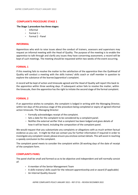## **COMPLAINTS PROCEDURE STAGE 1**

#### **The Stage 1 procedure has three stages:**

- Informal
- Formal 1 –
- Formal 2 Panel

#### **INFORMAL**

Apprentices who wish to raise issues about the conduct of trainers, assessors and supervisors may request an informal meeting with the Head of Quality. The purpose of the meeting is to enable the apprentice to talk through and clarify any issues they have concerning assessment; a record will be kept of such meetings. The meeting should be requested within two weeks of the event occurring.

## **FORMAL 1**

If this meeting fails to resolve the matter to the satisfaction of the apprentice then the QuAHead of Quality will conduct a meeting with the skills trainer/ skills coach or staff member in question to explore the substance of the learner/apprentice's complaint.

A record will be kept of action and timescale agreed and the Head of Quality will report this back to the apprentice within three working days. If subsequent action fails to resolve the matter, within the timescale, then the apprentice has the right to initiate the second stage of the formal complaint.

## **FORMAL 2**

If an apprentice wishes to complain, the complaint is lodged in writing with the Managing Director, within ten days of the previous stage of the procedure being completed or expiry of agreed informal action timescale. The Managing Director:

- Formally acknowledges receipt of the complaint.
- Sets a date for the complaint to be considered by a complaint panel.
- Notifies the external verifier that a complaint has been lodged and gives details of how it will be heard, including the composition of the complaint panel.

We would request that you substantiate any complaints or allegations with as much written factual evidence as you can. It might be that we contact you for further information if required in order to investigate any complaint raised, please ensure you enclose contact details. This will assist in reaching a speedy conclusion to the complaint.

The complaint panel meets to consider the complaint within 28 working days of the date of receipt of the complaint form.

## **COMPLAINTS PANEL**

The panel shall be small and formed so as to be objective and independent and will normally consist of:

- A member of the Senior Management Team
- A skills trainers/ skills coach for the relevant apprenticeship and or award (if applicable)
- An Internal Quality Assurer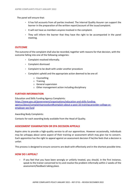The panel will ensure that:

- It has full accounts from all parties involved. The Internal Quality Assurer can support the learner in the preparation of the written report/account of the issue/complaint.
- It will not have as members anyone involved in the complaint.
- They will inform the learner that they have the right to be accompanied in the panel meeting.

#### **OUTCOME**

The outcome of the complaint shall also be recorded, together with reasons for that decision, with the outcome falling into one of the following categories:

- Complaint resolved informally.
- Complaint dismissed
- Complaint to be dealt with under another procedure
- Complaint upheld and the appropriate action deemed to be one of:
	- o Counselling
	- o Training
	- o General supervision
	- o Other management action including disciplinary

#### **FURTHER INFORMATION**

Education and Skills Funding Agency Complaints: [https://www.gov.uk/government/organisations/education-and-skills-funding](https://www.gov.uk/government/organisations/education-and-skills-funding-agency/about/complaintsprocedure#complain-about-a-post-16-training-provider-college-or-employer-we-fund)[agency/about/complaintsprocedure#complain-about-a-post-16-training-provider-college-or](https://www.gov.uk/government/organisations/education-and-skills-funding-agency/about/complaintsprocedure#complain-about-a-post-16-training-provider-college-or-employer-we-fund)[employer-we-fund](https://www.gov.uk/government/organisations/education-and-skills-funding-agency/about/complaintsprocedure#complain-about-a-post-16-training-provider-college-or-employer-we-fund)

Awarding Body Complaints:

Contacts for each awarding body available from the Head of Quality.

## **ASSESSMENT EXAMINATION OR EPA DECISION APPEALS**

Aspire aims to provide a high-quality service to all our apprentices. However occasionally, individuals may be unhappy about some aspect of their training or assessment which may give rise to concern. Each apprentice has the right to appeal against an assessment decision if he/she feels that a decision is unfair.

This process is designed to ensure concerns are dealt with effectively and in the shortest possible time.

## **HOW DO I APPEAL?**

• If you feel that you have been wrongly or unfairly treated, you should, in the first instance, speak to the trainer concerned to try and resolve the problem informally within 2 weeks of the assessment/feedback taking place.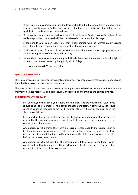- If the issue remains unresolved then the learner should submit a formal letter of appeal to an Internal Quality Assurer (within two weeks of feedback provided), with the details of the qualifications and any supporting evidence.
- If the appeal remains unresolved as a result of the internal Quality Assurer's review of the evidence provided, the appeal will then be referred to the Operations Manager.
- A panel made up of Senior Leadership Team in consultation with the internal quality assuror and tutor will meet to judge the evidence within 30 days of escalation.
- Within seven days of receipt of the decision made by the above the Managing Director will advise the apprentice of the decision in writing.
- Should the apprentice remain unhappy with the decision then the apprentice has the right to appeal to the relevant awarding body/EPA, within 7 days.
- The awarding body/EPA decision is final.

## **QUALITY ASSURANCE**

The Head of Quality will monitor the appeals procedure, in order to ensure that quality standards and the effectiveness of the procedure are maintained.

The Head of Quality will ensure that records on any matters related to the Appeals Procedure are maintained. These records will be held securely and remain confidential to the parties involved.

## **FURTHER POINTS TO RAISE**

- If at any stage of the appeal you require any guidance, support or further assistance you should speak to a member of the senior management team. Alternatively, you could speak to your line manager or mentor (if appropriate). Any help you seek will be in the strictest confidence.
- It is important that if you make the decision to appeal you appreciate that no one will proceed further without your agreement. If you feel your concern has been resolved, you can withdraw at any stage.
- Any apprentice who thinks that there are circumstances outside the course. Such as health or personal problems, which could adversely affect their performance in any form of assessment should bring these to the attention of the skills trainer as soon as possible before the relevant assessment.
- Any apprentice who believes that the assessment is taking place in conditions, which could significantly adversely affect their performance, should bring these to the attention of the tutor at the time of the assessment.